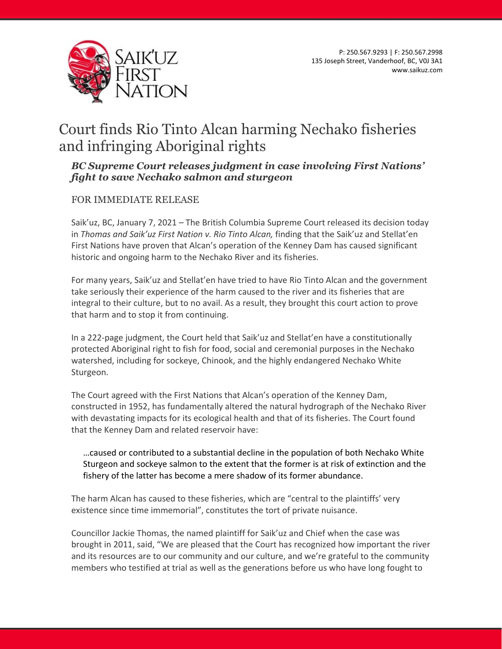

## Court finds Rio Tinto Alcan harming Nechako fisheries and infringing Aboriginal rights

## *BC Supreme Court releases judgment in case involving First Nations' fight to save Nechako salmon and sturgeon*

## FOR IMMEDIATE RELEASE

Saik'uz, BC, January 7, 2021 – The British Columbia Supreme Court released its decision today in *Thomas and Saik'uz First Nation v. Rio Tinto Alcan,* finding that the Saik'uz and Stellat'en First Nations have proven that Alcan's operation of the Kenney Dam has caused significant historic and ongoing harm to the Nechako River and its fisheries.

For many years, Saik'uz and Stellat'en have tried to have Rio Tinto Alcan and the government take seriously their experience of the harm caused to the river and its fisheries that are integral to their culture, but to no avail. As a result, they brought this court action to prove that harm and to stop it from continuing.

In a 222-page judgment, the Court held that Saik'uz and Stellat'en have a constitutionally protected Aboriginal right to fish for food, social and ceremonial purposes in the Nechako watershed, including for sockeye, Chinook, and the highly endangered Nechako White Sturgeon.

The Court agreed with the First Nations that Alcan's operation of the Kenney Dam, constructed in 1952, has fundamentally altered the natural hydrograph of the Nechako River with devastating impacts for its ecological health and that of its fisheries. The Court found that the Kenney Dam and related reservoir have:

…caused or contributed to a substantial decline in the population of both Nechako White Sturgeon and sockeye salmon to the extent that the former is at risk of extinction and the fishery of the latter has become a mere shadow of its former abundance.

The harm Alcan has caused to these fisheries, which are "central to the plaintiffs' very existence since time immemorial", constitutes the tort of private nuisance.

Councillor Jackie Thomas, the named plaintiff for Saik'uz and Chief when the case was brought in 2011, said, "We are pleased that the Court has recognized how important the river and its resources are to our community and our culture, and we're grateful to the community members who testified at trial as well as the generations before us who have long fought to